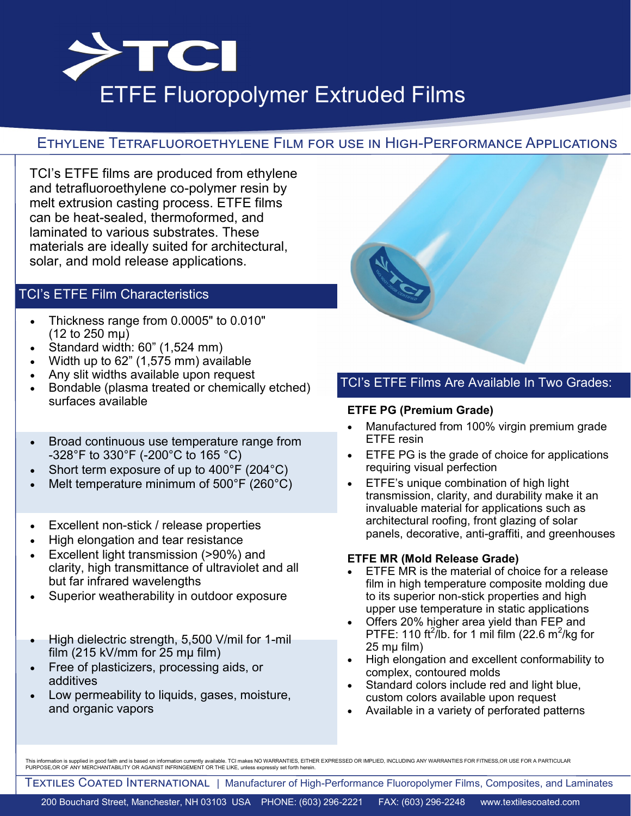

# ETFE Fluoropolymer Extruded Films

# Ethylene Tetrafluoroethylene Film for use in High-Performance Applications

TCI's ETFE films are produced from ethylene and tetrafluoroethylene co-polymer resin by melt extrusion casting process. ETFE films can be heat-sealed, thermoformed, and laminated to various substrates. These materials are ideally suited for architectural, solar, and mold release applications.

## TCI's ETFE Film Characteristics

- Thickness range from 0.0005" to 0.010" (12 to 250 mμ)
- Standard width: 60" (1,524 mm)
- Width up to 62" (1,575 mm) available
- Any slit widths available upon request
- Bondable (plasma treated or chemically etched) surfaces available
- Broad continuous use temperature range from -328°F to 330°F (-200°C to 165 °C)
- Short term exposure of up to 400°F (204°C)
- Melt temperature minimum of 500°F (260°C)
- Excellent non-stick / release properties
- High elongation and tear resistance
- Excellent light transmission (>90%) and clarity, high transmittance of ultraviolet and all but far infrared wavelengths
- Superior weatherability in outdoor exposure
- High dielectric strength, 5,500 V/mil for 1-mil film (215 kV/mm for 25 mµ film)
- Free of plasticizers, processing aids, or additives
- Low permeability to liquids, gases, moisture, and organic vapors



### TCI's ETFE Films Are Available In Two Grades:

#### **ETFE PG (Premium Grade)**

- Manufactured from 100% virgin premium grade ETFE resin
- ETFE PG is the grade of choice for applications requiring visual perfection
- ETFE's unique combination of high light transmission, clarity, and durability make it an invaluable material for applications such as architectural roofing, front glazing of solar panels, decorative, anti-graffiti, and greenhouses

#### **ETFE MR (Mold Release Grade)**

- ETFE MR is the material of choice for a release film in high temperature composite molding due to its superior non-stick properties and high upper use temperature in static applications
- Offers 20% higher area yield than FEP and PTFE: 110 ft<sup>2</sup>/lb. for 1 mil film (22.6 m<sup>2</sup>/kg for 25 mµ film)
- High elongation and excellent conformability to complex, contoured molds
- Standard colors include red and light blue, custom colors available upon request
- Available in a variety of perforated patterns

This information is supplied in good faith and is based on information currently available. TCI makes NO WARRANTIES, EITHER EXPRESSED OR IMPLIED, INCLUDING ANY WARRANTIES FOR FITNESS,OR USE FOR A PARTICULAR PURPOSE,OR OF ANY MERCHANTABILITY OR AGAINST INFRINGEMENT OR THE LIKE, unless expressly set forth herein.

Textiles Coated International | Manufacturer of High-Performance Fluoropolymer Films, Composites, and Laminates

200 Bouchard Street, Manchester, NH 03103 USA PHONE: (603) 296-2221 FAX: (603) 296-2248 www.textilescoated.com